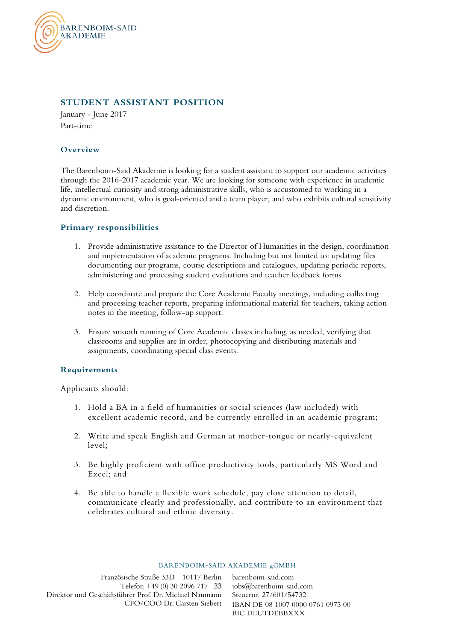

# **STUDENT ASSISTANT POSITION**

January - June 2017 Part-time

# **Overview**

The Barenboim-Said Akademie is looking for a student assistant to support our academic activities through the 2016-2017 academic year. We are looking for someone with experience in academic life, intellectual curiosity and strong administrative skills, who is accustomed to working in a dynamic environment, who is goal-oriented and a team player, and who exhibits cultural sensitivity and discretion.

# **Primary responsibilities**

- 1. Provide administrative assistance to the Director of Humanities in the design, coordination and implementation of academic programs. Including but not limited to: updating files documenting our programs, course descriptions and catalogues, updating periodic reports, administering and processing student evaluations and teacher feedback forms.
- 2. Help coordinate and prepare the Core Academic Faculty meetings, including collecting and processing teacher reports, preparing informational material for teachers, taking action notes in the meeting, follow-up support.
- 3. Ensure smooth running of Core Academic classes including, as needed, verifying that classrooms and supplies are in order, photocopying and distributing materials and assignments, coordinating special class events.

### **Requirements**

Applicants should:

- 1. Hold a BA in a field of humanities or social sciences (law included) with excellent academic record, and be currently enrolled in an academic program;
- 2. Write and speak English and German at mother-tongue or nearly-equivalent level;
- 3. Be highly proficient with office productivity tools, particularly MS Word and Excel; and
- 4. Be able to handle a flexible work schedule, pay close attention to detail, communicate clearly and professionally, and contribute to an environment that celebrates cultural and ethnic diversity.

#### BARENBOIM-SAID AKADEMIE gGMBH

Französische Straße 33D 10117 Berlin Telefon +49 (0) 30 2096 717 - 33 Direktor und Geschäftsführer Prof. Dr. Michael Naumann CFO/COO Dr. Carsten Siebert

barenboim-said.com jobs@barenboim-said.com Steuernr. 27/601/54732 IBAN DE 08 1007 0000 0761 0975 00 BIC DEUTDEBBXXX